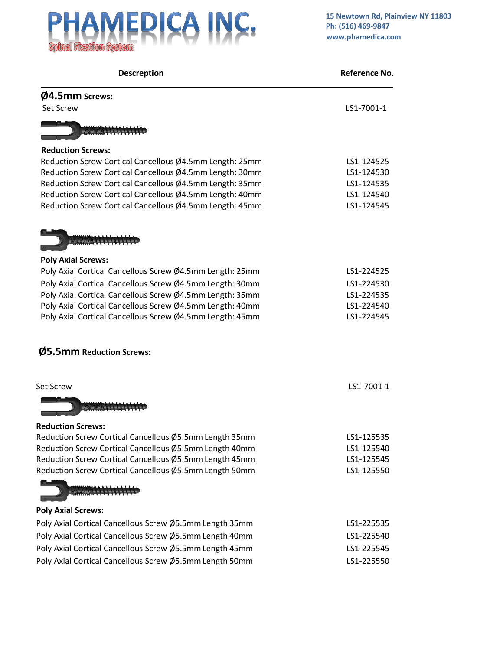

| <b>Descreption</b>                                       | Reference No. |
|----------------------------------------------------------|---------------|
| <b>Ø4.5mm Screws:</b>                                    |               |
| <b>Set Screw</b>                                         | LS1-7001-1    |
|                                                          |               |
| <b>Reduction Screws:</b>                                 |               |
| Reduction Screw Cortical Cancellous Ø4.5mm Length: 25mm  | LS1-124525    |
| Reduction Screw Cortical Cancellous Ø4.5mm Length: 30mm  | LS1-124530    |
| Reduction Screw Cortical Cancellous Ø4.5mm Length: 35mm  | LS1-124535    |
| Reduction Screw Cortical Cancellous Ø4.5mm Length: 40mm  | LS1-124540    |
| Reduction Screw Cortical Cancellous Ø4.5mm Length: 45mm  | LS1-124545    |
|                                                          |               |
| <b>Poly Axial Screws:</b>                                |               |
| Poly Axial Cortical Cancellous Screw Ø4.5mm Length: 25mm | LS1-224525    |
| Poly Axial Cortical Cancellous Screw Ø4.5mm Length: 30mm | LS1-224530    |
| Poly Axial Cortical Cancellous Screw Ø4.5mm Length: 35mm | LS1-224535    |
| Poly Axial Cortical Cancellous Screw Ø4.5mm Length: 40mm | LS1-224540    |
| Poly Axial Cortical Cancellous Screw Ø4.5mm Length: 45mm | LS1-224545    |
| Ø5.5mm Reduction Screws:                                 |               |
| <b>Set Screw</b>                                         | LS1-7001-1    |
| $-$ summations $-$                                       |               |
| <b>Reduction Screws:</b>                                 |               |
| Reduction Screw Cortical Cancellous Ø5.5mm Length 35mm   | LS1-125535    |
| Reduction Screw Cortical Cancellous Ø5.5mm Length 40mm   | LS1-125540    |
| Reduction Screw Cortical Cancellous Ø5.5mm Length 45mm   | LS1-125545    |
| Reduction Screw Cortical Cancellous Ø5.5mm Length 50mm   | LS1-125550    |
|                                                          |               |
| <b>Poly Axial Screws:</b>                                |               |
| Poly Axial Cortical Cancellous Screw Ø5.5mm Length 35mm  | LS1-225535    |
| Poly Axial Cortical Cancellous Screw Ø5.5mm Length 40mm  | LS1-225540    |
| Poly Axial Cortical Cancellous Screw Ø5.5mm Length 45mm  | LS1-225545    |
| Poly Axial Cortical Cancellous Screw Ø5.5mm Length 50mm  | LS1-225550    |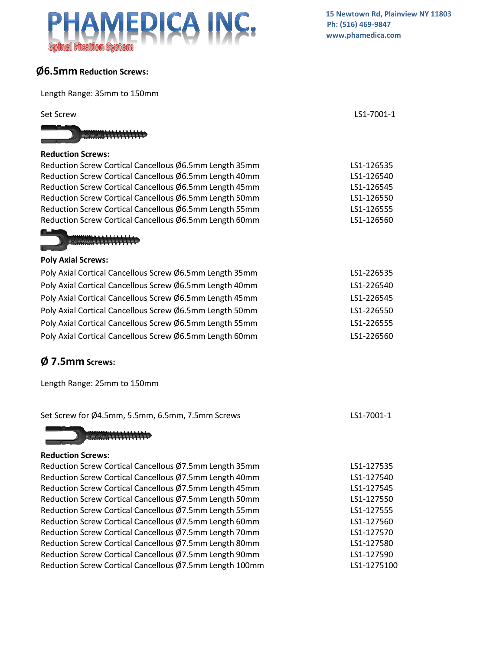# CA INC.  $\Delta$ MEI

## **Ø6.5mm Reduction Screws:**

Length Range: 35mm to 150mm

| LELIKUL NAHKE. SSIIIIII LU LOUIIIIII                    |            |
|---------------------------------------------------------|------------|
| <b>Set Screw</b>                                        | LS1-7001-1 |
|                                                         |            |
| <b>Reduction Screws:</b>                                |            |
| Reduction Screw Cortical Cancellous Ø6.5mm Length 35mm  | LS1-126535 |
| Reduction Screw Cortical Cancellous Ø6.5mm Length 40mm  | LS1-126540 |
| Reduction Screw Cortical Cancellous Ø6.5mm Length 45mm  | LS1-126545 |
| Reduction Screw Cortical Cancellous Ø6.5mm Length 50mm  | LS1-126550 |
| Reduction Screw Cortical Cancellous Ø6.5mm Length 55mm  | LS1-126555 |
| Reduction Screw Cortical Cancellous Ø6.5mm Length 60mm  | LS1-126560 |
|                                                         |            |
| <b>Poly Axial Screws:</b>                               |            |
| Poly Axial Cortical Cancellous Screw Ø6.5mm Length 35mm | LS1-226535 |
| Poly Axial Cortical Cancellous Screw Ø6.5mm Length 40mm | LS1-226540 |
| Poly Axial Cortical Cancellous Screw Ø6.5mm Length 45mm | LS1-226545 |
| Poly Axial Cortical Cancellous Screw Ø6.5mm Length 50mm | LS1-226550 |
| Poly Axial Cortical Cancellous Screw Ø6.5mm Length 55mm | LS1-226555 |
| Poly Axial Cortical Cancellous Screw Ø6.5mm Length 60mm | LS1-226560 |
| $\emptyset$ 7.5mm Screws:                               |            |
| Length Range: 25mm to 150mm                             |            |
| Set Screw for Ø4.5mm, 5.5mm, 6.5mm, 7.5mm Screws        | LS1-7001-1 |
| $-$ sounded solved $ -$                                 |            |
| <b>Reduction Screws:</b>                                |            |
| Reduction Screw Cortical Cancellous Ø7.5mm Length 35mm  | LS1-127535 |
| Reduction Screw Cortical Cancellous Ø7.5mm Length 40mm  | LS1-127540 |
| Reduction Screw Cortical Cancellous Ø7.5mm Length 45mm  | LS1-127545 |
| Reduction Screw Cortical Cancellous Ø7.5mm Length 50mm  | LS1-127550 |
| Reduction Screw Cortical Cancellous Ø7.5mm Length 55mm  | LS1-127555 |
| Reduction Screw Cortical Cancellous Ø7.5mm Length 60mm  | LS1-127560 |
| Reduction Screw Cortical Cancellous Ø7.5mm Length 70mm  | LS1-127570 |
| Reduction Screw Cortical Cancellous Ø7.5mm Length 80mm  | LS1-127580 |
| Reduction Screw Cortical Cancellous Ø7.5mm Length 90mm  | LS1-127590 |

Reduction Screw Cortical Cancellous Ø7.5mm Length 100mm LS1-1275100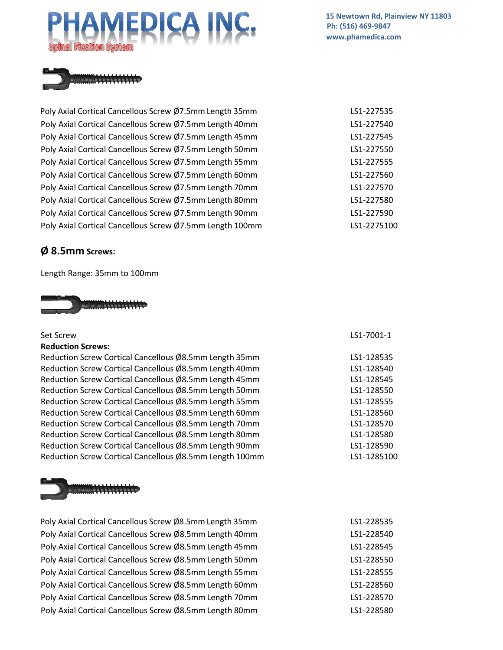**15 Newtown Rd, Plainview NY 11803 Ph: (516) 469-9847 [www.phamedica.com](http://www.phamedica.com/)**



Poly Axial Cortical Cancellous Screw Ø7.5mm Length 35mm LGT 2001 2012-227535 Poly Axial Cortical Cancellous Screw Ø7.5mm Length 40mm LS1-227540 Poly Axial Cortical Cancellous Screw Ø7.5mm Length 45mm Land Louis 2011-227545 Poly Axial Cortical Cancellous Screw Ø7.5mm Length 50mm LS1-227550 Poly Axial Cortical Cancellous Screw Ø7.5mm Length 55mm Lexeculous LS1-227555 Poly Axial Cortical Cancellous Screw Ø7.5mm Length 60mm LS1-227560 Poly Axial Cortical Cancellous Screw Ø7.5mm Length 70mm LS1-227570 Poly Axial Cortical Cancellous Screw Ø7.5mm Length 80mm LS1-227580 Poly Axial Cortical Cancellous Screw Ø7.5mm Length 90mm LS1-227590 Poly Axial Cortical Cancellous Screw Ø7.5mm Length 100mm LS1-2275100

### **Ø 8.5mm Screws:**

Length Range: 35mm to 100mm



### Set Screw LS1-7001-1 **Reduction Screws:**

Reduction Screw Cortical Cancellous Ø8.5mm Length 35mm LS1-128535 Reduction Screw Cortical Cancellous Ø8.5mm Length 40mm LS1-128540 Reduction Screw Cortical Cancellous Ø8.5mm Length 45mm LS1-128545 Reduction Screw Cortical Cancellous Ø8.5mm Length 50mm LS1-128550 Reduction Screw Cortical Cancellous Ø8.5mm Length 55mm Lease Control Control 2014 Reduction Screw Cortical Cancellous Ø8.5mm Length 60mm LS1-128560 Reduction Screw Cortical Cancellous Ø8.5mm Length 70mm Reduction Screw Cortical Cancellous  $\emptyset$ 8.5mm Length 80mm Reduction Screw Cortical Cancellous Ø8.5mm Length 90mm Reduction Screw Cortical Cancellous Ø8.5mm Length 100mm LS1-1285100



Poly Axial Cortical Cancellous Screw Ø8.5mm Length 35mm Poly Axial Cortical Cancellous Screw Ø8.5mm Length 40mm Poly Axial Cortical Cancellous Screw Ø8.5mm Length 45mm Poly Axial Cortical Cancellous Screw Ø8.5mm Length 50mm Poly Axial Cortical Cancellous Screw Ø8.5mm Length 55mm Poly Axial Cortical Cancellous Screw Ø8.5mm Length 60mm Poly Axial Cortical Cancellous Screw Ø8.5mm Length 70mm Poly Axial Cortical Cancellous Screw Ø8.5mm Length 80mm

| LS1-128570<br>LS1-128580<br>LS1-128590 |
|----------------------------------------|
| LS1-128510(                            |
|                                        |
|                                        |
|                                        |
| LS1-228535                             |
| 3305.LO<br>.                           |

| LS1-228540 |
|------------|
| LS1-228545 |
| LS1-228550 |
| LS1-228555 |
| LS1-228560 |
| LS1-228570 |
| LS1-228580 |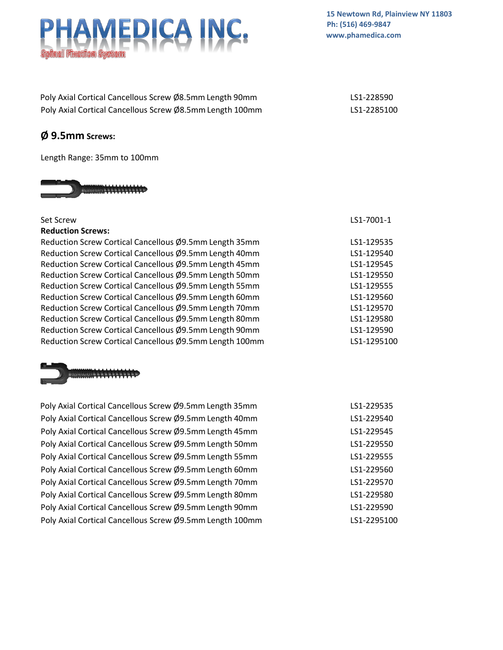**15 Newtown Rd, Plainview NY 11803 Ph: (516) 469-9847 [www.phamedica.com](http://www.phamedica.com/)**

| Poly Axial Cortical Cancellous Screw Ø8.5mm Length 90mm  | LS1-228590  |
|----------------------------------------------------------|-------------|
| Poly Axial Cortical Cancellous Screw Ø8.5mm Length 100mm | LS1-2285100 |

### **Ø 9.5mm Screws:**

Length Range: 35mm to 100mm



| Set Screw                                               | LS1-7001-1  |
|---------------------------------------------------------|-------------|
| <b>Reduction Screws:</b>                                |             |
| Reduction Screw Cortical Cancellous Ø9.5mm Length 35mm  | LS1-129535  |
| Reduction Screw Cortical Cancellous Ø9.5mm Length 40mm  | LS1-129540  |
| Reduction Screw Cortical Cancellous Ø9.5mm Length 45mm  | LS1-129545  |
| Reduction Screw Cortical Cancellous Ø9.5mm Length 50mm  | LS1-129550  |
| Reduction Screw Cortical Cancellous Ø9.5mm Length 55mm  | LS1-129555  |
| Reduction Screw Cortical Cancellous Ø9.5mm Length 60mm  | LS1-129560  |
| Reduction Screw Cortical Cancellous Ø9.5mm Length 70mm  | LS1-129570  |
| Reduction Screw Cortical Cancellous Ø9.5mm Length 80mm  | LS1-129580  |
| Reduction Screw Cortical Cancellous Ø9.5mm Length 90mm  | LS1-129590  |
| Reduction Screw Cortical Cancellous Ø9.5mm Length 100mm | LS1-1295100 |
|                                                         |             |



Poly Axial Cortical Cancellous Screw Ø9.5mm Length 35mm Poly Axial Cortical Cancellous Screw Ø9.5mm Length 40mm Poly Axial Cortical Cancellous Screw Ø9.5mm Length 45mm Poly Axial Cortical Cancellous Screw Ø9.5mm Length 50mm Poly Axial Cortical Cancellous Screw Ø9.5mm Length 55mm Poly Axial Cortical Cancellous Screw Ø9.5mm Length 60mm Poly Axial Cortical Cancellous Screw Ø9.5mm Length 70mm Poly Axial Cortical Cancellous Screw Ø9.5mm Length 80mm Poly Axial Cortical Cancellous Screw Ø9.5mm Length 90mm Poly Axial Cortical Cancellous Screw Ø9.5mm Length 100mm LS1-2295100

| LS1-229535  |
|-------------|
| LS1-229540  |
| I S1-229545 |
| LS1-229550  |
| LS1-229555  |
| I S1-229560 |
| I S1-229570 |
| I S1-229580 |
| LS1-229590  |
| LS1-2295100 |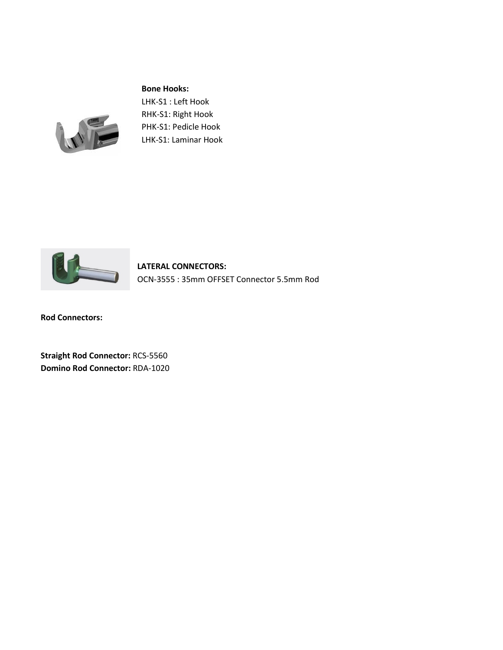### **Bone Hooks:**



LHK-S1 : Left Hook RHK-S1: Right Hook PHK-S1: Pedicle Hook LHK-S1: Laminar Hook



**LATERAL CONNECTORS:**  OCN-3555 : 35mm OFFSET Connector 5.5mm Rod

**Rod Connectors:**

**Straight Rod Connector:** RCS-5560 **Domino Rod Connector:** RDA-1020